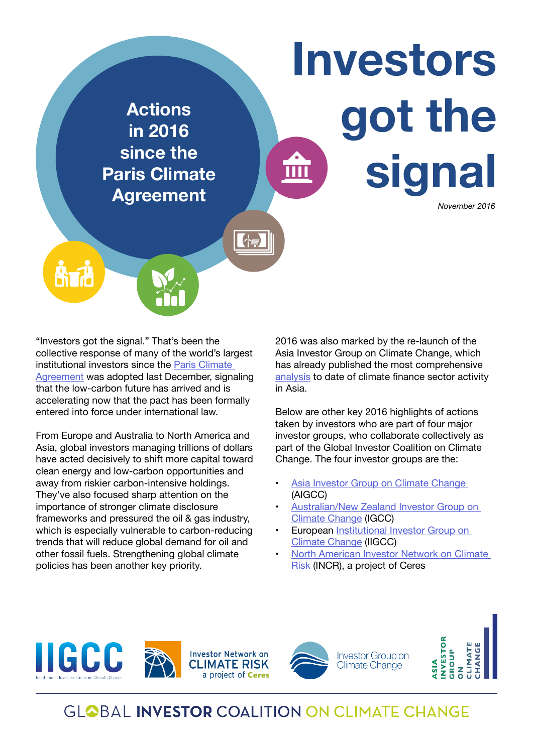

"Investors got the signal." That's been the collective response of many of the world's largest institutional investors since the Paris Climate [Agreement](http://unfccc.int/paris_agreement/items/9485.php) was adopted last December, signaling that the low-carbon future has arrived and is accelerating now that the pact has been formally entered into force under international law.

From Europe and Australia to North America and Asia, global investors managing trillions of dollars have acted decisively to shift more capital toward clean energy and low-carbon opportunities and away from riskier carbon-intensive holdings. They've also focused sharp attention on the importance of stronger climate disclosure frameworks and pressured the oil & gas industry, which is especially vulnerable to carbon-reducing trends that will reduce global demand for oil and other fossil fuels. Strengthening global climate policies has been another key priority.

2016 was also marked by the re-launch of the Asia Investor Group on Climate Change, which has already published the most comprehensive [analysis](http://aigcc.net/wp-content/uploads/2015/12/AIGCC-final.pdf) to date of climate finance sector activity in Asia.

Below are other key 2016 highlights of actions taken by investors who are part of four major investor groups, who collaborate collectively as part of the Global Investor Coalition on Climate Change. The four investor groups are the:

- [Asia Investor Group on Climate Change](http://aigcc.net)  (AIGCC)
- [Australian/New Zealand Investor Group on](http://www.igcc.org.au/)  [Climate Change](http://www.igcc.org.au/) (IGCC)
- **European Institutional Investor Group on** [Climate Change](http://www.iigcc.org) (IIGCC)
- [North American Investor Network on Climate](https://www.ceres.org/investor-network)  [Risk](https://www.ceres.org/investor-network) (INCR), a project of Ceres





Investor Group on Climate Change

ASIA<br>NVESTOR<br>GROUP

# **GLOBAL INVESTOR COALITION ON CLIMATE CHANGE**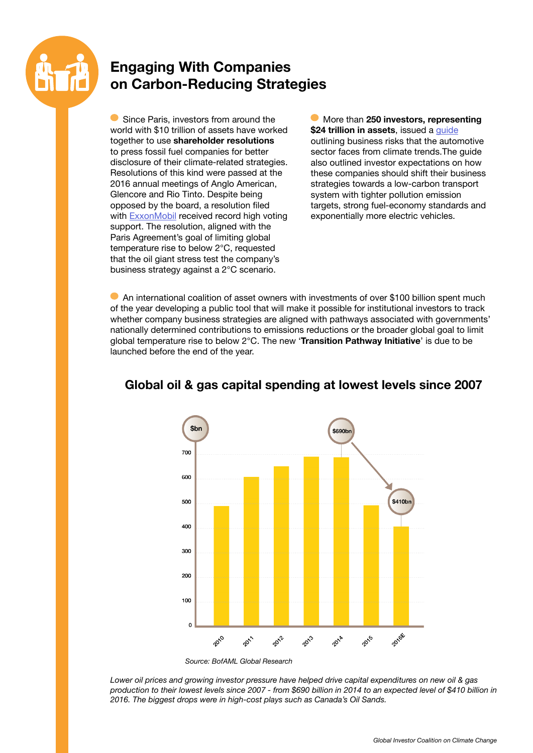

## **Engaging With Companies on Carbon-Reducing Strategies**

Since Paris, investors from around the world with \$10 trillion of assets have worked together to use **shareholder resolutions** to press fossil fuel companies for better disclosure of their climate-related strategies. Resolutions of this kind were passed at the 2016 annual meetings of Anglo American, Glencore and Rio Tinto. Despite being opposed by the board, a resolution filed with [ExxonMobil](http://mashable.com/2016/05/25/exxon-chevron-climate-resolutions/#LWGUU_d1NPqG) received record high voting support. The resolution, aligned with the Paris Agreement's goal of limiting global temperature rise to below 2°C, requested that the oil giant stress test the company's business strategy against a 2°C scenario.

More than **250 investors, representing \$24 trillion in assets**, issued a [guide](http://globalinvestorcoalition.org/global-investors-launch-guide-drive-engagement-climate-risk-automotive-sector/) outlining business risks that the automotive sector faces from climate trends.The guide also outlined investor expectations on how these companies should shift their business strategies towards a low-carbon transport system with tighter pollution emission targets, strong fuel-economy standards and exponentially more electric vehicles.

An international coalition of asset owners with investments of over \$100 billion spent much of the year developing a public tool that will make it possible for institutional investors to track whether company business strategies are aligned with pathways associated with governments' nationally determined contributions to emissions reductions or the broader global goal to limit global temperature rise to below 2°C. The new '**Transition Pathway Initiative**' is due to be launched before the end of the year.



#### **Global oil & gas capital spending at lowest levels since 2007**

*Source: BofAML Global Research*

*Lower oil prices and growing investor pressure have helped drive capital expenditures on new oil & gas production to their lowest levels since 2007 - from \$690 billion in 2014 to an expected level of \$410 billion in 2016. The biggest drops were in high-cost plays such as Canada's Oil Sands.*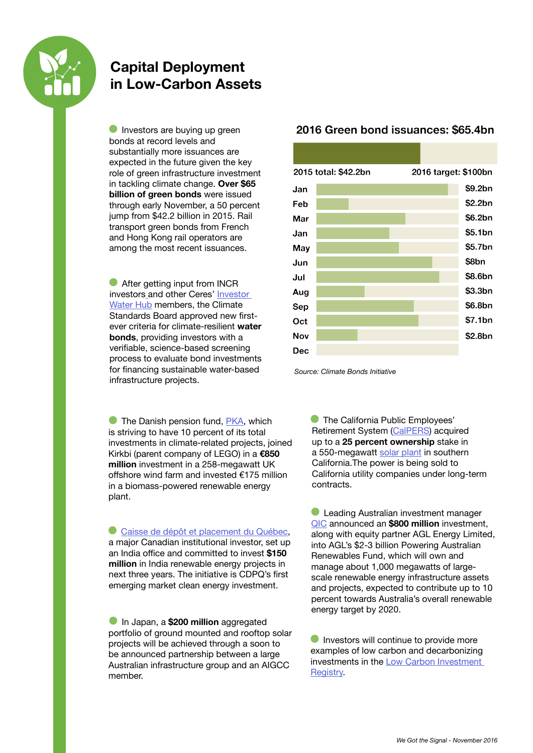

#### **Capital Deployment in Low-Carbon Assets**

Investors are buying up green bonds at record levels and substantially more issuances are expected in the future given the key role of green infrastructure investment in tackling climate change. **Over \$65 billion of green bonds** were issued through early November, a 50 percent jump from \$42.2 billion in 2015. Rail transport green bonds from French and Hong Kong rail operators are among the most recent issuances.

**After getting input from INCR** investors and other Ceres' [Investor](https://www.ceres.org/investor-network/incr/incr-working-groups)  [Water Hub](https://www.ceres.org/investor-network/incr/incr-working-groups) members, the Climate Standards Board approved new firstever criteria for climate-resilient **water bonds**, providing investors with a verifiable, science-based screening process to evaluate bond investments for financing sustainable water-based infrastructure projects.

**The Danish pension fund, [PKA](https://www.pension.dk/medlem/), which** is striving to have 10 percent of its total investments in climate-related projects, joined Kirkbi (parent company of LEGO) in a **€850 million** investment in a 258-megawatt UK offshore wind farm and invested €175 million in a biomass-powered renewable energy plant.

[Caisse de dépôt et placement du Québec,](http://economictimes.indiatimes.com/industry/energy/power/cdpq-sets-up-office-in-india-commits-150-million-for-renewable-energy/articleshow/51329123.cms) a major Canadian institutional investor, set up an India office and committed to invest **\$150 million** in India renewable energy projects in next three years. The initiative is CDPQ's first emerging market clean energy investment.

In Japan, a **\$200 million** aggregated portfolio of ground mounted and rooftop solar projects will be achieved through a soon to be announced partnership between a large Australian infrastructure group and an AIGCC member.

#### 2016 Green bond issuances: \$65.4bn



*Source: Climate Bonds Initiative*

**The California Public Employees'** Retirement System ([CalPERS\)](https://www.calpers.ca.gov) acquired up to a **25 percent ownership** stake in a 550-megawatt [solar plant](http://www.desertsun.com/story/tech/science/energy/2016/03/25/calpers-buys-stake-huge-riverside-county-solar-farm/82264278/) in southern California.The power is being sold to California utility companies under long-term contracts.

**C** Leading Australian investment manager [QIC](http://www.prnewswire.com/news-releases/qic-enters-strategic-renewable-energy-partnership-with-agl-300304513.html) announced an **\$800 million** investment, along with equity partner AGL Energy Limited, into AGL's \$2-3 billion Powering Australian Renewables Fund, which will own and manage about 1,000 megawatts of largescale renewable energy infrastructure assets and projects, expected to contribute up to 10 percent towards Australia's overall renewable energy target by 2020.

Investors will continue to provide more examples of low carbon and decarbonizing investments in the [Low Carbon Investment](http://globalinvestorcoalition.org/low-carbon-investment-registry/)  [Registry](http://globalinvestorcoalition.org/low-carbon-investment-registry/).